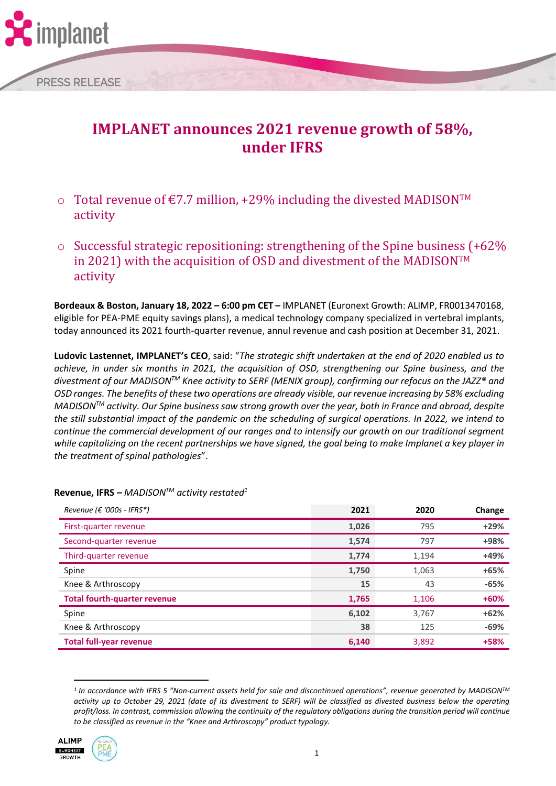

# **under IFRS**

- $\circ$  Total revenue of €7.7 million, +29% including the divested MADISON<sup>™</sup> activity
- o Successful strategic repositioning: strengthening of the Spine business (+62% in 2021) with the acquisition of OSD and divestment of the MADISONTM activity

**Bordeaux & Boston, January 18, 2022 – 6:00 pm CET –** IMPLANET (Euronext Growth: ALIMP, FR0013470168, eligible for PEA-PME equity savings plans), a medical technology company specialized in vertebral implants, today announced its 2021 fourth-quarter revenue, annul revenue and cash position at December 31, 2021.

**Ludovic Lastennet, IMPLANET's CEO**, said: "*The strategic shift undertaken at the end of 2020 enabled us to achieve, in under six months in 2021, the acquisition of OSD, strengthening our Spine business, and the divestment of our MADISONTM Knee activity to SERF (MENIX group), confirming our refocus on the JAZZ® and OSD ranges. The benefits of these two operations are already visible, our revenue increasing by 58% excluding MADISONTM activity. Our Spine business saw strong growth over the year, both in France and abroad, despite the still substantial impact of the pandemic on the scheduling of surgical operations. In 2022, we intend to continue the commercial development of our ranges and to intensify our growth on our traditional segment while capitalizing on the recent partnerships we have signed, the goal being to make Implanet a key player in the treatment of spinal pathologies*".

| Revenue (€ '000s - IFRS*)           | 2021  | 2020  | Change |
|-------------------------------------|-------|-------|--------|
| First-quarter revenue               | 1,026 | 795   | $+29%$ |
| Second-quarter revenue              | 1,574 | 797   | +98%   |
| Third-quarter revenue               | 1,774 | 1,194 | +49%   |
| Spine                               | 1,750 | 1,063 | $+65%$ |
| Knee & Arthroscopy                  | 15    | 43    | $-65%$ |
| <b>Total fourth-quarter revenue</b> | 1,765 | 1,106 | $+60%$ |
| Spine                               | 6,102 | 3,767 | $+62%$ |
| Knee & Arthroscopy                  | 38    | 125   | $-69%$ |
| <b>Total full-year revenue</b>      | 6,140 | 3,892 | +58%   |

**Revenue, IFRS** *– MADISONTM activity restated<sup>1</sup>*

*<sup>1</sup> In accordance with IFRS 5 "Non-current assets held for sale and discontinued operations", revenue generated by MADISONTM activity up to October 29, 2021 (date of its divestment to SERF) will be classified as divested business below the operating profit/loss. In contrast, commission allowing the continuity of the regulatory obligations during the transition period will continue to be classified as revenue in the "Knee and Arthroscopy" product typology.*



nplanet

**PRESS RELEASE** 

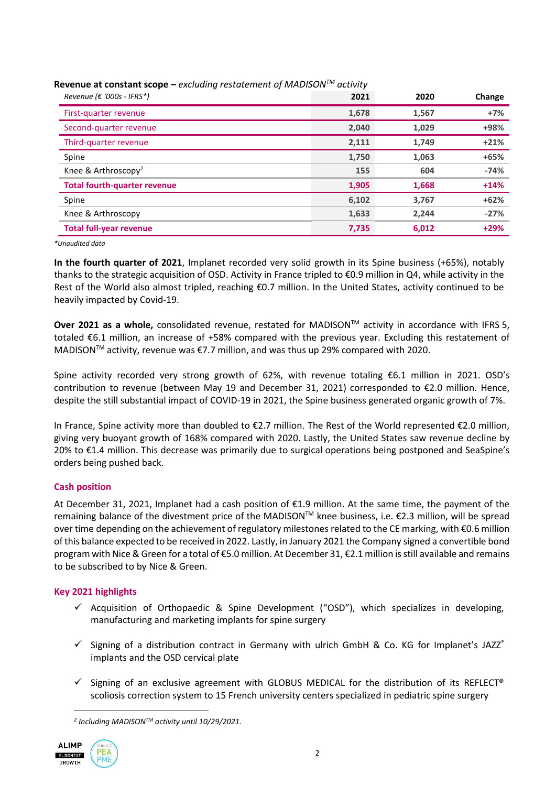| Revenue ( $\epsilon$ '000s - IFRS*) | 2021  | 2020  | Change |
|-------------------------------------|-------|-------|--------|
| First-quarter revenue               | 1,678 | 1,567 | $+7%$  |
| Second-quarter revenue              | 2,040 | 1,029 | +98%   |
| Third-quarter revenue               | 2,111 | 1,749 | $+21%$ |
| Spine                               | 1,750 | 1,063 | $+65%$ |
| Knee & Arthroscopy <sup>2</sup>     | 155   | 604   | $-74%$ |
| <b>Total fourth-quarter revenue</b> | 1,905 | 1,668 | $+14%$ |
| Spine                               | 6,102 | 3,767 | $+62%$ |
| Knee & Arthroscopy                  | 1,633 | 2,244 | $-27%$ |
| <b>Total full-year revenue</b>      | 7,735 | 6,012 | $+29%$ |

**Revenue at constant scope** *– excluding restatement of MADISONTM activity*

*\*Unaudited data*

**In the fourth quarter of 2021**, Implanet recorded very solid growth in its Spine business (+65%), notably thanks to the strategic acquisition of OSD. Activity in France tripled to €0.9 million in Q4, while activity in the Rest of the World also almost tripled, reaching €0.7 million. In the United States, activity continued to be heavily impacted by Covid-19.

**Over 2021 as a whole,** consolidated revenue, restated for MADISON™ activity in accordance with IFRS 5, totaled €6.1 million, an increase of +58% compared with the previous year. Excluding this restatement of MADISON<sup>™</sup> activity, revenue was €7.7 million, and was thus up 29% compared with 2020.

Spine activity recorded very strong growth of 62%, with revenue totaling €6.1 million in 2021. OSD's contribution to revenue (between May 19 and December 31, 2021) corresponded to €2.0 million. Hence, despite the still substantial impact of COVID-19 in 2021, the Spine business generated organic growth of 7%.

In France, Spine activity more than doubled to €2.7 million. The Rest of the World represented €2.0 million, giving very buoyant growth of 168% compared with 2020. Lastly, the United States saw revenue decline by 20% to €1.4 million. This decrease was primarily due to surgical operations being postponed and SeaSpine's orders being pushed back.

# **Cash position**

At December 31, 2021, Implanet had a cash position of €1.9 million. At the same time, the payment of the remaining balance of the divestment price of the MADISON™ knee business, i.e. €2.3 million, will be spread over time depending on the achievement of regulatory milestones related to the CE marking, with €0.6 million of this balance expected to be received in 2022. Lastly, in January 2021 the Company signed a convertible bond program with Nice & Green for a total of €5.0 million. At December 31, €2.1 million isstill available and remains to be subscribed to by Nice & Green.

# **Key 2021 highlights**

- $\checkmark$  Acquisition of Orthopaedic & Spine Development ("OSD"), which specializes in developing, manufacturing and marketing implants for spine surgery
- $\checkmark$  Signing of a distribution contract in Germany with ulrich GmbH & Co. KG for Implanet's JAZZ® implants and the OSD cervical plate
- $\checkmark$  Signing of an exclusive agreement with GLOBUS MEDICAL for the distribution of its REFLECT® scoliosis correction system to 15 French university centers specialized in pediatric spine surgery

*<sup>2</sup> Including MADISONTM activity until 10/29/2021.*